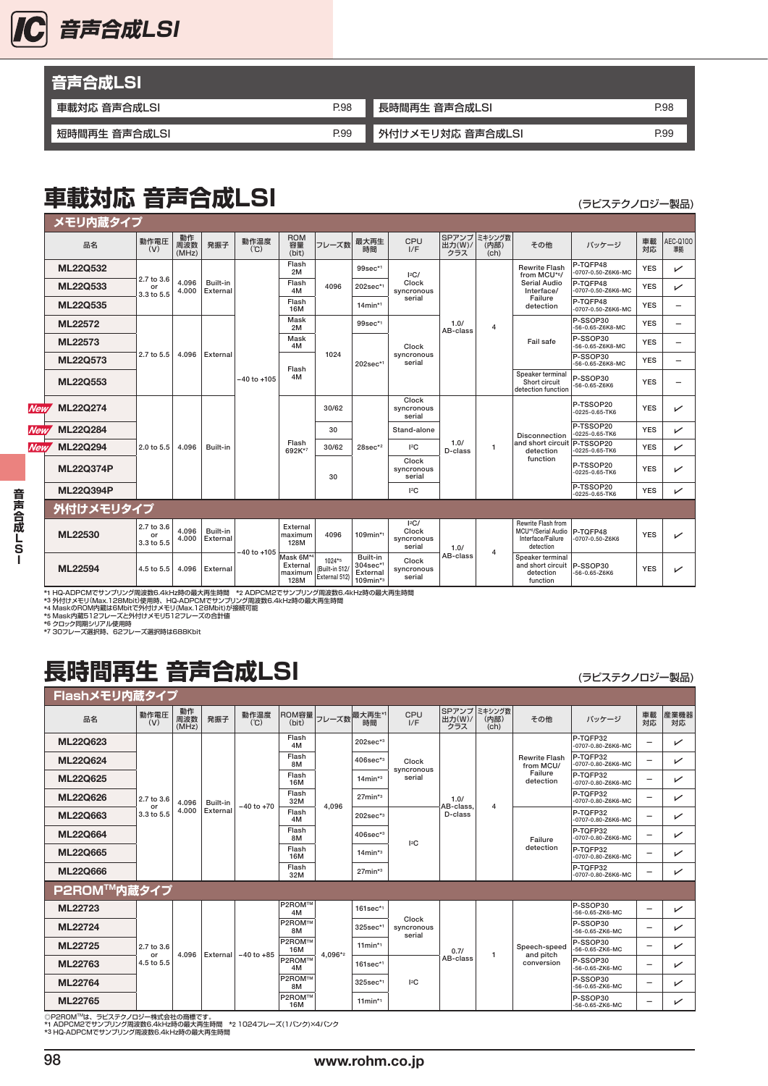

| 音声合成LSI       |      |                  |      |
|---------------|------|------------------|------|
| 車載対応 音声合成LSI  | P.98 | 長時間再生 音声合成LSI    | P.98 |
|               |      |                  |      |
| 短時間再生 音声合成LSI | P.99 | 外付けメモリ対応 音声合成LSI | P.99 |

## 車載対応音声合成LSI (ラビステクノロジー製品)

|            | メモリ内蔵タイプ                        |                                |                    |                                          |                                            |                                              |                               |                        |                                                                |                           |                        |                                                                                                |                                   |            |                          |
|------------|---------------------------------|--------------------------------|--------------------|------------------------------------------|--------------------------------------------|----------------------------------------------|-------------------------------|------------------------|----------------------------------------------------------------|---------------------------|------------------------|------------------------------------------------------------------------------------------------|-----------------------------------|------------|--------------------------|
|            | 品名                              | 動作電圧<br>(V)                    | 動作<br>周波数<br>(MHz) | 発振子                                      | 動作温度<br>(C)                                | <b>ROM</b><br>容量<br>(bit)                    | フレーズ数                         | 最大再生<br>時間             | CPU<br>I/F                                                     | SPアンプ<br>出力(W)/<br>クラス    | ミキシング数<br>(内部)<br>(ch) | その他                                                                                            | バッケージ                             | 車載<br>対応   | AEC-Q100<br>準拠           |
|            | <b>ML22Q532</b>                 |                                |                    |                                          |                                            | Flash<br>2M                                  |                               | 99sec*1                | $ ^{2}C/$                                                      |                           |                        | <b>Rewrite Flash</b><br>from MCU*6/                                                            | P-TOFP48<br>-0707-0.50-Z6K6-MC    | <b>YES</b> | ↙                        |
|            | ML22Q533                        | 2.7 to 3.6<br>or<br>3.3 to 5.5 | 4.096<br>4.000     | Built-in<br>External                     |                                            | Flash<br>4M                                  | 4096                          | 202sec*1               | Clock<br>syncronous                                            |                           |                        | <b>Serial Audio</b><br>Interface/                                                              | P-TQFP48<br>-0707-0.50-Z6K6-MC    | <b>YES</b> | ↙                        |
|            | ML22Q535                        |                                |                    |                                          |                                            | Flash<br>16M                                 |                               | $14$ min* <sup>1</sup> | serial                                                         |                           |                        | Failure<br>detection                                                                           | P-TOFP48<br>-0707-0.50-Z6K6-MC    | <b>YES</b> | -                        |
|            | ML22572                         |                                |                    |                                          | $-40$ to $+105$                            | Mask<br>2M                                   | 1024                          | 99sec*1                |                                                                | 1.0/<br>AB-class          | $\overline{4}$         |                                                                                                | P-SSOP30<br>-56-0.65-Z6K8-MC      | <b>YES</b> | $\overline{\phantom{0}}$ |
|            | ML22573<br>ML22Q573<br>ML22Q553 |                                | 4.096              |                                          |                                            | Mask<br>4M                                   |                               | 202sec*1               | Clock<br>syncronous<br>serial                                  |                           |                        | Fail safe                                                                                      | P-SSOP30<br>-56-0.65-Z6K8-MC      | <b>YES</b> | -                        |
|            |                                 | 2.7 to 5.5                     |                    | External                                 |                                            | Flash<br>4M                                  |                               |                        |                                                                |                           |                        |                                                                                                | P-SSOP30<br>-56-0.65-Z6K8-MC      | <b>YES</b> | $\overline{\phantom{0}}$ |
|            |                                 |                                |                    |                                          |                                            |                                              |                               |                        |                                                                |                           |                        | Speaker terminal<br>Short circuit<br>detection function                                        | P-SSOP30<br>$-56 - 0.65 - Z6K6$   | <b>YES</b> | -                        |
| <b>New</b> | <b>ML22Q274</b>                 |                                |                    |                                          |                                            | Flash<br>692K*7                              | 30/62<br>30<br>30/62<br>30    | $28sec*2$              | Clock<br>syncronous<br>serial                                  | 1.0/<br>D-class           | 1                      | <b>Disconnection</b><br>and short circuit<br>detection<br>function                             | P-TSSOP20<br>-0225-0.65-TK6       | <b>YES</b> | ↙                        |
| <b>New</b> | ML22Q284                        |                                |                    |                                          |                                            |                                              |                               |                        | Stand-alone                                                    |                           |                        |                                                                                                | P-TSSOP20<br>-0225-0.65-TK6       | <b>YES</b> | ✓                        |
| New,       | ML22Q294                        | 2.0 to 5.5                     | 4.096              | Built-in                                 |                                            |                                              |                               |                        | ${}^{12}C$                                                     |                           |                        |                                                                                                | P-TSSOP20<br>0225-0.65-TK6        | <b>YES</b> | ✓                        |
|            | <b>ML22Q374P</b>                |                                |                    |                                          |                                            |                                              |                               |                        | Clock<br>syncronous<br>serial                                  |                           |                        |                                                                                                | P-TSSOP20<br>-0225-0.65-TK6       | <b>YES</b> | ✓                        |
|            | <b>ML22Q394P</b>                |                                |                    |                                          |                                            |                                              |                               |                        | 12C                                                            |                           |                        |                                                                                                | P-TSSOP20<br>0225-0.65-TK6        | <b>YES</b> | ✓                        |
|            | 外付けメモリタイプ                       |                                |                    |                                          |                                            |                                              |                               |                        |                                                                |                           |                        |                                                                                                |                                   |            |                          |
|            | ML22530                         | 2.7 to 3.6<br>or<br>3.3 to 5.5 | 4.096<br>4.000     | Built-in<br>External                     |                                            | External<br>maximum<br>128M                  | 4096                          | 109min*1               | $ ^{2}C/$<br>Clock<br>syncronous<br>serial                     | 1.0/                      | 4                      | <b>Rewrite Flash from</b><br>MCU* <sup>6</sup> /Serial Audio<br>Interface/Failure<br>detection | P-TQFP48<br>$-0707 - 0.50 - Z6K6$ | <b>YES</b> | ✓                        |
|            | ML22594<br>4.5 to 5.5           | 4.096<br>External              | $-40$ to $+105$    | Mask 6M*4<br>External<br>maximum<br>128M | $1024*5$<br>(Built-in 512/<br>External 512 | Built-in<br>304sec*1<br>External<br>109min*3 | Clock<br>syncronous<br>serial | AB-class               | Speaker terminal<br>and short circuit<br>detection<br>function | P-SSOP30<br>-56-0.65-Z6K6 | <b>YES</b>             | ↙                                                                                              |                                   |            |                          |

\*1 HQ-ADPCMでサンブリング周波数6.4kHz時の最大再生時間 \*2 ADPCM2でサンブリング周波数6.4kHz時の最大再生時間<br>\*3 外付けメモリ(Max.128Mbit)使用時、HQ-ADPCMでサンプリング周波数6.4kHz時の最大再生時間<br>\*4 MaskのROM内蔵は6Mbitで外付けメモリ(Max.128Mbit)が接続可能<br>\*6 Mask内蔵5 12フレーズと外付けメモリ512フレーズの合計値<br>\*6 クロック同期シ

## 長時間再生 音声合成LSI **Example and Traveller and Travel**

| Flashメモリ内蔵タイプ   |                  |                    |          |                |                             |         |                        |                               |                              |                              |                                   |                                        |                          |            |
|-----------------|------------------|--------------------|----------|----------------|-----------------------------|---------|------------------------|-------------------------------|------------------------------|------------------------------|-----------------------------------|----------------------------------------|--------------------------|------------|
| 品名              | 動作電圧<br>(V)      | 動作<br>周波数<br>(MHz) | 発振子      | 動作温度<br>(C)    | ROM容量<br>(bit)              | フレーズ数   | 最大再生*1<br>時間           | CPU<br>I/F                    | 出力(W)/<br>クラス                | SPアンプ ミキシング数<br>(内部)<br>(ch) | その他                               | バッケージ                                  | 車載<br>対応                 | 産業機器<br>対応 |
| ML22Q623        |                  |                    |          |                | Flash<br>4M                 |         | $202sec*3$             |                               |                              |                              |                                   | P-TOFP32<br>-0707-0.80-Z6K6-MC         | $\overline{\phantom{0}}$ | ✓          |
| <b>ML22Q624</b> |                  |                    |          |                | Flash<br>8M                 |         | $406$ sec* $3$         | Clock<br>syncronous           |                              | $\overline{4}$               | <b>Rewrite Flash</b><br>from MCU/ | P-TOFP32<br>-0707-0.80-Z6K6-MC         | -                        | ✓          |
| ML22Q625        |                  |                    |          |                | Flash<br>16M                |         | $14$ min* $3$          | serial                        | 1.0/<br>AB-class.<br>D-class |                              | Failure<br>detection              | P-TQFP32<br>$-0707 - 0.80 - Z6K6 - MC$ | -                        | ✓          |
| <b>ML22Q626</b> | 2.7 to 3.6<br>or | 4.096              | Built-in | $-40$ to $+70$ | Flash<br>32M                | 4.096   | $27$ min* $3$          |                               |                              |                              |                                   | P-TQFP32<br>-0707-0.80-Z6K6-MC         | $\qquad \qquad$          | ✓          |
| ML22Q663        | 3.3 to 5.5       | 4.000              | External |                | Flash<br>4M                 |         | $202sec*3$             | 12C                           |                              |                              | Failure<br>detection              | P-TOFP32<br>-0707-0.80-Z6K6-MC         | -                        | ✓          |
| <b>ML22Q664</b> |                  |                    |          |                | Flash<br>8M                 |         | $406sec*3$             |                               |                              |                              |                                   | P-TOFP32<br>-0707-0.80-Z6K6-MC         | $\overline{\phantom{0}}$ | ✓          |
| <b>ML22Q665</b> |                  |                    |          |                | Flash<br>16M                |         | $14$ min* $3$          |                               |                              |                              |                                   | P-TOFP32<br>-0707-0.80-Z6K6-MC         | -                        | ✓          |
| <b>ML22Q666</b> |                  |                    |          |                | Flash<br>32M                |         | $27$ min* $3$          |                               |                              |                              |                                   | P-TOFP32<br>-0707-0.80-Z6K6-MC         | -                        | ✓          |
| P2ROM™内蔵タイプ     |                  |                    |          |                |                             |         |                        |                               |                              |                              |                                   |                                        |                          |            |
| ML22723         |                  |                    |          |                | <b>P2ROM™</b><br>4M         |         | $161$ sec*1            |                               |                              |                              |                                   | P-SSOP30<br>-56-0.65-ZK6-MC            | -                        | ✓          |
| ML22724         |                  |                    |          |                | <b>P2ROM™</b><br>8M         |         | 325sec*1               | Clock<br>syncronous<br>serial |                              |                              |                                   | P-SSOP30<br>-56-0.65-ZK6-MC            | -                        | ✓          |
| ML22725         | 2.7 to 3.6<br>or | 4.096              | External |                | P2ROM™<br>16M               | 4.096*2 | $11$ min*1             |                               | 0.7/                         | $\mathbf{1}$                 | Speech-speed                      | P-SSOP30<br>$-56 - 0.65 - ZK6 - MC$    | $\overline{\phantom{0}}$ | ✓          |
| ML22763         | 4.5 to 5.5       |                    |          | $-40$ to $+85$ | <b>P2ROM™</b><br>4M         |         | $161sec*1$             |                               | AB-class                     |                              | and pitch<br>conversion           | P-SSOP30<br>-56-0.65-ZK6-MC            | $\qquad \qquad$          | ✓          |
| ML22764         |                  |                    |          |                | <b>P2ROM™</b><br>8M         |         | 325sec*1               | 12C                           |                              |                              |                                   | P-SSOP30<br>-56-0.65-ZK6-MC            | -                        | ↙          |
| ML22765         |                  |                    |          |                | <b>P2ROM™</b><br><b>16M</b> |         | $11$ min* <sup>1</sup> |                               |                              |                              |                                   | P-SSOP30<br>-56-0.65-ZK6-MC            | -                        | ✓          |

◎P2ROM™は、ラビステクノロジー株式会社の商標です。<br>\*1 ADPCM2でサンプリンク周波数6.4kHz時の最大再生時間 \*2 1024フレーズ(1バンク)×4バンク<br>\*3 HQ-ADPCMでサンプリング周波数6.4kHz時の最大再生時間